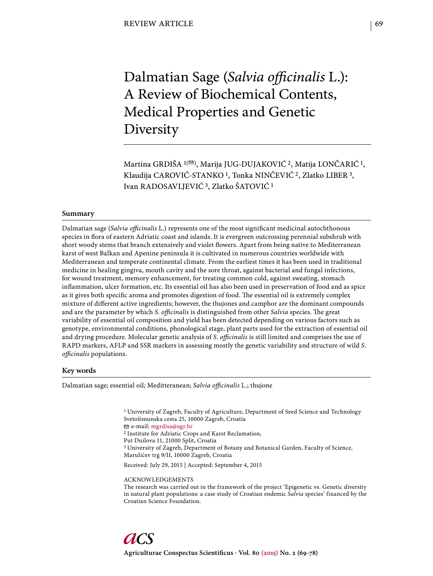# Dalmatian Sage (Salvia officinalis L.): A Review of Biochemical Contents, Medical Properties and Genetic Diversity

Martina GRDIŠA <sup>1(®)</sup>, Marija JUG-DUJAKOVIĆ<sup>2</sup>, Matija LONČARIĆ<sup>1</sup>, Klaudija CAROVIĆ-STANKO<sup>1</sup>, Tonka NINČEVIĆ<sup>2</sup>, Zlatko LIBER<sup>3</sup>, Ivan RADOSAVLJEVIĆ 3, Zlatko ŠATOVIĆ 1

## **Summary**

Dalmatian sage (*Salvia officinalis* L.) represents one of the most significant medicinal autochthonous species in flora of eastern Adriatic coast and islands. It is evergreen outcrossing perennial subshrub with short woody stems that branch extensively and violet flowers. Apart from being native to Mediterranean karst of west Balkan and Apenine peninsula it is cultivated in numerous countries worldwide with Mediterranean and temperate continental climate. From the earliest times it has been used in traditional medicine in healing gingiva, mouth cavity and the sore throat, against bacterial and fungal infections, for wound treatment, memory enhancement, for treating common cold, against sweating, stomach inflammation, ulcer formation, etc. Its essential oil has also been used in preservation of food and as spice as it gives both specific aroma and promotes digestion of food. The essential oil is extremely complex mixture of different active ingredients; however, the thujones and camphor are the dominant compounds and are the parameter by which *S. officinalis* is distinguished from other *Salvia* species. The great variability of essential oil composition and yield has been detected depending on various factors such as genotype, environmental conditions, phonological stage, plant parts used for the extraction of essential oil and drying procedure. Molecular genetic analysis of *S. officinalis* is still limited and comprises the use of RAPD markers, AFLP and SSR markers in assessing mostly the genetic variability and structure of wild *S. offi cinalis* populations.

## **Key words**

Dalmatian sage; essential oil; Meditteranean; *Salvia officinalis* L.; thujone

<sup>1</sup> University of Zagreb, Faculty of Agriculture, Department of Seed Science and Technology Svetošimunska cesta 25, 10000 Zagreb, Croatia e-mail: mgrdisa@agr.hr 2 Institute for Adriatic Crops and Karst Reclamation, Put Duilova 11, 21000 Split, Croatia 3 University of Zagreb, Department of Botany and Botanical Garden, Faculty of Science, Marulićev trg 9/II, 10000 Zagreb, Croatia Received: July 29, 2015 | Accepted: September 4, 2015

ACKNOWLEDGEMENTS The research was carried out in the framework of the project 'Epigenetic vs. Genetic diversity in natural plant populations: a case study of Croatian endemic *Salvia* species' financed by the Croatian Science Foundation.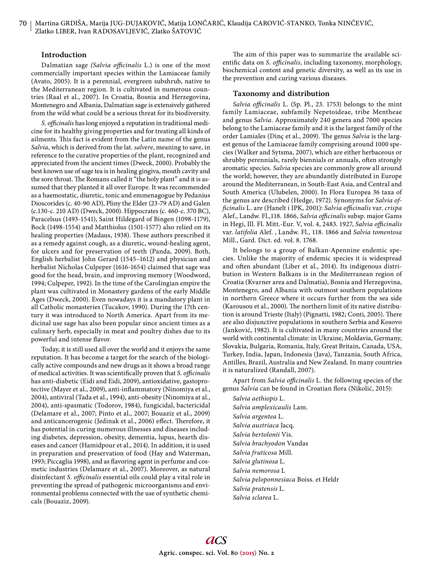## **Introduction**

Dalmatian sage *(Salvia officinalis L.)* is one of the most commercially important species within the Lamiaceae family (Avato, 2005). It is a perennial, evergreen subshrub, native to the Mediterranean region. It is cultivated in numerous countries (Raal et al., 2007). In Croatia, Bosnia and Herzegovina, Montenegro and Albania, Dalmatian sage is extensively gathered from the wild what could be a serious threat for its biodiversity.

S. officinalis has long enjoyed a reputation in traditional medicine for its healthy giving properties and for treating all kinds of ailments. This fact is evident from the Latin name of the genus *Salvia*, which is derived from the lat. *salvere*, meaning to save, in reference to the curative properties of the plant, recognized and appreciated from the ancient times (Dweck, 2000). Probably the best known use of sage tea is in healing gingiva, mouth cavity and the sore throat. The Romans called it "the holy plant" and it is assumed that they planted it all over Europe. It was recommended as a haemostatic, diuretic, tonic and emmenagogue by Pedanius Dioscorides (c. 40-90 AD), Pliny the Elder (23-79 AD) and Galen (c.130-c. 210 AD) (Dweck, 2000). Hippocrates (c. 460-c. 370 BC), Paracelsus (1493-1541), Saint Hildegard of Bingen (1098-1179), Bock (1498-1554) and Matthiolus (1501-1577) also relied on its healing properties (Madaus, 1938). These authors prescribed it as a remedy against cough, as a diuretic, wound-healing agent, for ulcers and for preservation of teeth (Panda, 2009). Both, English herbalist John Gerard (1545–1612) and physician and herbalist Nicholas Culpeper (1616-1654) claimed that sage was good for the head, brain, and improving memory (Woodword, 1994; Culpeper, 1992). In the time of the Carolingian empire the plant was cultivated in Monastery gardens of the early Middle Ages (Dweck, 2000). Even nowadays it is a mandatory plant in all Catholic monasteries (Tucakov, 1990). During the 17th century it was introduced to North America. Apart from its medicinal use sage has also been popular since ancient times as a culinary herb, especially in meat and poultry dishes due to its powerful and intense flavor.

Today, it is still used all over the world and it enjoys the same reputation. It has become a target for the search of the biologically active compounds and new drugs as it shows a broad range of medical activities. It was scientifically proven that *S. officinalis* has anti-diabetic (Eidi and Eidi, 2009), antioxidative, gastoprotective (Mayer et al., 2009), anti-inflammatory (Ninomiya et al., 2004), antiviral (Tada et al., 1994), anti-obesity (Ninomiya at al., 2004), anti-spasmatic (Todorov, 1984), fungicidal, bactericidal (Delamare et al., 2007; Pinto et al., 2007; Bouaziz et al., 2009) and anticancerogenic (Jedinak et al., 2006) effect. Therefore, it has potential in curing numerous illnesses and diseases including diabetes, depression, obesity, dementia, lupus, hearth diseases and cancer (Hamidpour et al., 2014). In addition, it is used in preparation and preservation of food (Hay and Waterman, 1993; Piccaglia 1998), and as flavoring agent in perfume and cosmetic industries (Delamare et al., 2007). Moreover, as natural disinfectant *S. officinalis* essential oils could play a vital role in preventing the spread of pathogenic microorganisms and environmental problems connected with the use of synthetic chemicals (Bouaziz, 2009).

The aim of this paper was to summarize the available scientific data on *S. officinalis*, including taxonomy, morphology, biochemical content and genetic diversity, as well as its use in the prevention and curing various diseases.

#### **Taxonomy and distribution**

Salvia officinalis L. (Sp. Pl., 23. 1753) belongs to the mint family Lamiaceae, subfamily Nepetoideae, tribe Mentheae and genus *Salvia*. Approximately 240 genera and 7000 species belong to the Lamiaceae family and it is the largest family of the order Lamiales (Dinç et al., 2009). The genus *Salvia* is the largest genus of the Lamiaceae family comprising around 1000 species (Walker and Sytsma, 2007), which are either herbaceous or shrubby perennials, rarely biennials or annuals, often strongly aromatic species. *Salvia* species are commonly grow all around the world; however, they are abundantly distributed in Europe around the Mediterranean, in South-East Asia, and Central and South America (Ulubelen, 2000). In Flora Europea 36 taxa of the genus are described (Hedge, 1972). Synonyms for *Salvia offi cinalis* L. are (Hanelt i IPK, 2001): *Salvia offi cinalis* var. *crispa* Alef., Landw. Fl.,118. 1866, Salvia officinalis subsp. major Gams in Hegi, Ill. Fl. Mitt.-Eur. V, vol. 4, 2483. 1927, Salvia officinalis var. *latifolia* Alef. , Landw. Fl., 118. 1866 and *Salvia tomentosa* Mill., Gard. Dict. ed. vol. 8. 1768.

It belongs to a group of Balkan-Apennine endemic species. Unlike the majority of endemic species it is widespread and often abundant (Liber et al., 2014). Its indigenous distribution in Western Balkans is in the Mediterranean region of Croatia (Kvarner area and Dalmatia), Bosnia and Herzegovina, Montenegro, and Albania with outmost southern populations in northern Greece where it occurs further from the sea side (Karousou et al., 2000). The northern limit of its native distribution is around Trieste (Italy) (Pignatti, 1982; Conti, 2005). There are also disjunctive populations in southern Serbia and Kosovo (Janković, 1982). It is cultivated in many countries around the world with continental climate: in Ukraine, Moldavia, Germany, Slovakia, Bulgaria, Romania, Italy, Great Britain, Canada, USA, Turkey, India, Japan, Indonesia (Java), Tanzania, South Africa, Antilles, Brazil, Australia and New Zealand. In many countries it is naturalized (Randall, 2007).

Apart from *Salvia officinalis* L. the following species of the genus Salvia can be found in Croatian flora (Nikolić, 2015):

*Salvia aethiopis* L. *Salvia amplexicaulis* Lam. *Salvia argentea* L. *Salvia austriaca* Jacq. *Salvia bertolonii* Vis. *Salvia brachyodon* Vandas *Salvia fruticosa* Mill. *Salvia glutinosa* L. *Salvia nemorosa* L *Salvia peloponnesiaca* Boiss. et Heldr *Salvia pratensis* L. *Salvia sclarea* L.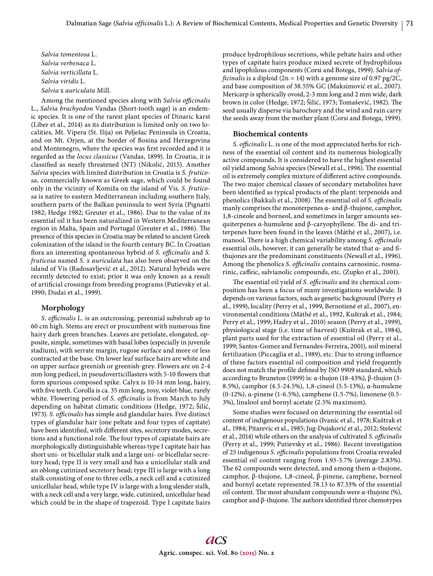*Salvia tomentosa* L. *Salvia verbenaca* L. *Salvia verticillata* L. *Salvia viridis* L. *Salvia* x *auriculata* Mill.

Among the mentioned species along with *Salvia officinalis* L., *Salvia brachyodon* Vandas (Short-tooth sage) is an endemic species. It is one of the rarest plant species of Dinaric karst (Liber et al., 2014) as its distribution is limited only on two localities, Mt. Vipera (St. Ilija) on Pelješac Peninsula in Croatia, and on Mt. Orjen, at the border of Bosina and Herzegovina and Montenegro, where the species was first recorded and it is regarded as the *locus classicus* (Vandas, 1899). In Croatia, it is classified as nearly threatened (NT) (Nikolić, 2015). Another *Salvia* species with limited distribution in Croatia is *S. fruticosa,* commercially known as Greek sage, which could be found only in the vicinity of Komiža on the island of Vis. *S. fruticosa* is native to eastern Mediterranean including southern Italy, southern parts of the Balkan peninsula to west Syria (Pignatti 1982; Hedge 1982; Greuter et al., 1986). Due to the value of its essential oil it has been naturalized in Western Mediterranean region in Malta, Spain and Portugal (Greuter et al., 1986). The presence of this species in Croatia may be related to ancient Greek colonization of the island in the fourth century BC. In Croatian flora an interesting spontaneous hybrid of *S. officinalis* and *S. fruticosa* named *S. x auriculata* has also been observed on the island of Vis (Radosavljević et al., 2012). Natural hybrids were recently detected to exist; prior it was only known as a result of artificial crossings from breeding programs (Putievsky et al. 1990; Dudai et al., 1999).

## **Morphology**

S. officinalis L. is an outcrossing, perennial subshrub up to 60 cm high. Stems are erect or procumbent with numerous fine hairy dark green branches. Leaves are petiolate, elongated, opposite, simple, sometimes with basal lobes (especially in juvenile stadium), with serrate margin, rugose surface and more or less contracted at the base. On lower leaf surface hairs are white and on upper surface greenish or greenish-grey. Flowers are on 2-4 mm long pedicel, in pseudoverticillasters with 5-10 flowers that form spurious composed spike. Calyx is 10-14 mm long, hairy, with five teeth. Corolla is ca. 35 mm long, rosy, violet-blue, rarely white. Flowering period of *S. officinalis* is from March to July depending on habitat climatic conditions (Hedge, 1972; Šilić, 1973). *S. officinalis* has simple and glandular hairs. Five distinct types of glandular hair (one peltate and four types of capitate) have been identified, with different sites, secretory modes, secretions and a functional role. The four types of capiatate hairs are morphologically distinguishable whereas type I capitate hair has short uni- or bicellular stalk and a large uni- or bicellular secretory head; type II is very small and has a unicellular stalk and an oblong cutinized secretory head; type III is large with a long stalk consisting of one to three cells, a neck cell and a cutinized unicellular head, while type IV is large with a long slender stalk, with a neck cell and a very large, wide, cutinized, unicellular head which could be in the shape of trapezoid. Type I capitate hairs

produce hydrophilous secretions, while peltate hairs and other types of capitate hairs produce mixed secrete of hydrophilous and lipophilous components (Corsi and Botega, 1999). *Salvia officinalis* is a diploid  $(2n = 14)$  with a genome size of 0.97 pg/2C, and base composition of 38.55% GC (Maksimović et al., 2007). Mericarp is spherically ovoid, 2-3 mm long and 2 mm wide, dark brown in color (Hedge, 1972; Šilić, 1973; Tomašević, 1982). The seed usually disperse via barochory and the wind and rain carry the seeds away from the mother plant (Corsi and Botega, 1999).

#### **Biochemical contents**

*S. officinalis* L. is one of the most appreciated herbs for richness of the essential oil content and its numerous biologically active compounds. It is considered to have the highest essential oil yield among *Salvia* species (Newall et al., 1996). The essential oil is extremely complex mixture of different active compounds. The two major chemical classes of secondary metabolites have been identified as typical products of the plant: terpenoids and phenolics (Bakkali et al., 2008). The essential oil of *S. officinalis* manly comprises the monoterpenes α- and β-thujone, camphor, 1,8-cineole and borneol, and sometimes in larger amounts sesquiterpenes  $\alpha$ -humulene and  $\beta$ -caryophyllene. The di- and triterpenes have been found in the leaves (Máthé et al., 2007), i.e. manool. There is a high chemical variability among *S. officinalis* essential oils, however, it can generally be stated that α- and ßthujones are the predominant constituents (Newall et al., 1996). Among the phenolics *S. officinalis* contains carnosinic, rosmarinic, caffeic, salvianolic compounds, etc. (Zupko et al., 2001).

The essential oil yield of *S. officinalis* and its chemical composition has been a focus of many investigations worldwide. It depends on various factors, such as genetic background (Perry et al., 1999), locality (Perry et al., 1999, Bernotiené et al., 2007), environmental conditions (Máthé et al., 1992, Kuštrak et al., 1984; Perry et al., 1999; Hadry et al., 2010) season (Perry et al., 1999), physiological stage (i.e. time of harvest) (Kuštrak et al., 1984), plant parts used for the extraction of essential oil (Perry et al., 1999; Santos-Gomez and Fernandes-Ferreira, 2001), soil mineral fertilization (Piccaglia et al., 1989), etc. Due to strong influence of these factors essential oil composition and yield frequently does not match the profile defined by ISO 9909 standard, which according to Bruneton (1999) is: α-thujon (18-43%), β-thujon (3- 8.5%), camphor (4.5-24.5%), 1,8-cineol (5.5-13%), α-humulene (0-12%), α-pinene (1-6.5%), camphene (1.5-7%), limonene (0.5- 3%), linalool and bornyl acetate (2.5% maximum).

Some studies were focused on determining the essential oil content of indigenous populations (Ivanic et al., 1978; Kuštrak et al., 1984; Pitarevic et al., 1985; Jug-Dujaković et al., 2012; Stešević et al., 2014) while others on the analysis of cultivated *S. officinalis* (Perry et al., 1999; Putievsky et al., 1986). Recent investigation of 25 indigenous *S. officinalis* populations from Croatia revealed essential oil content ranging from 1.93-3.7% (average 2.83%). The 62 compounds were detected, and among them  $\alpha$ -thujone, camphor, β-thujone, 1,8-cineol, β-pinene, camphene, borneol and bornyl acetate represented 78.13 to 87.33% of the essential oil content. The most abundant compounds were α-thujone  $(% \theta)$ , camphor and  $\beta$ -thujone. The authors identified three chemotypes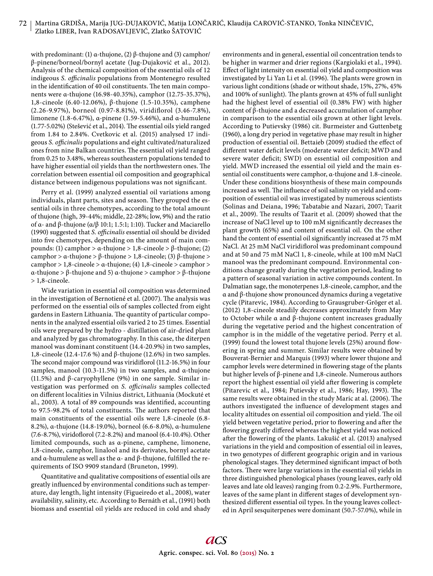## 72 Martina GRDIŠA, Marija JUG-DUJAKOVIĆ, Matija LONČARIĆ, Klaudija CAROVIĆ-STANKO, Tonka NINČEVIĆ, Zlatko LIBER, Ivan RADOSAVLJEVIĆ, Zlatko ŠATOVIĆ

with predominant: (1)  $\alpha$ -thujone, (2) β-thujone and (3) camphor/ β-pinene/borneol/bornyl acetate (Jug-Dujaković et al., 2012). Analysis of the chemical composition of the essential oils of 12 indigeous *S. officinalis* populations from Montenegro resulted in the identification of 40 oil constituents. The ten main components were α-thujone (16.98-40.35%), camphor (12.75-35.37%), 1,8-cineole (6.40-12.06%), β-thujone (1.5-10.35%), camphene (2.26-9.97%), borneol (0.97-8.81%), viridiflorol (3.46-7.8%), limonene (1.8-6.47%), α-pinene (1.59-5.46%), and α-humulene  $(1.77-5.02%)$  (Stešević et al., 2014). The essential oils yield ranged from 1.84 to 2.84%. Cvetkovic et al. (2015) analysed 17 indigeous *S. officinalis* populations and eight cultivated/naturalized ones from nine Balkan countries. The essential oil yield ranged from 0.25 to 3.48%, whereas southeastern populations tended to have higher essential oil yields than the northwestern ones. The correlation between essential oil composition and geographical distance between indigenous populations was not significant.

Perry et al. (1999) analyzed essential oil variations among individuals, plant parts, sites and season. They grouped the essential oils in three chemotypes, according to the total amount of thujone (high, 39-44%; middle, 22-28%; low, 9%) and the ratio of α- and β-thujone (α/β 10:1; 1.5:1; 1:10). Tucker and Maciarello (1990) suggested that *S. officinalis* essential oil should be divided into five chemotypes, depending on the amount of main compounds: (1) camphor > α-thujone > 1,8-cineole > β-thujone; (2) camphor > α-thujone > β-thujone > 1,8-cineole; (3) β-thujone > camphor > 1,8-cineole > α-thujone; (4) 1,8-cineole > camphor > α-thujone > β-thujone and 5) α-thujone > camphor > β-thujone > 1,8-cineole.

Wide variation in essential oil composition was determined in the investigation of Bernotiené et al. (2007). The analysis was performed on the essential oils of samples collected from eight gardens in Eastern Lithuania. The quantity of particular components in the analyzed essential oils varied 2 to 25 times. Essential oils were prepared by the hydro - distillation of air-dried plant and analyzed by gas chromatography. In this case, the diterpen manool was dominant constituent (14.4-20.9%) in two samples, 1,8-cineole (12.4-17.6 %) and β-thujone (12.6%) in two samples. The second major compound was viridiflorol (11.2-16.5%) in four samples, manool (10.3-11.5%) in two samples, and α-thujone (11.5%) and β-caryophyllene (9%) in one sample. Similar investigation was performed on *S. officinalis* samples collected on different localities in Vilnius district, Lithuania (Mockuté et al., 2003). A total of 89 compounds was identified, accounting to 97.5-98.2% of total constituents. The authors reported that main constituents of the essential oils were 1,8-cineole (6.8- 8.2%), α-thujone (14.8-19.0%), borneol (6.6-8.0%), α-humulene  $(7.6-8.7%)$ , viridoflorol  $(7.2-8.2%)$  and manool  $(6.4-10.4%)$ . Other limited compounds, such as α-pinene, camphene, limonene, 1,8-cineole, camphor, linalool and its derivates, bornyl acetate and  $\alpha$ -humulene as well as the  $\alpha$ - and  $\beta$ -thujone, fulfilled the requirements of ISO 9909 standard (Bruneton, 1999).

Quantitative and qualitative compositions of essential oils are greatly influenced by environmental conditions such as temperature, day length, light intensity (Figueiredo et al., 2008), water availability, salinity, etc. According to Bernáth et al., (1991) both biomass and essential oil yields are reduced in cold and shady environments and in general, essential oil concentration tends to be higher in warmer and drier regions (Kargiolaki et al., 1994). Effect of light intensity on essential oil yield and composition was investigated by Li Yan Li et al. (1996). The plants were grown in various light conditions (shade or without shade, 15%, 27%, 45% and 100% of sunlight). The plants grown at 45% of full sunlight had the highest level of essential oil (0.38% FW) with higher content of β-thujone and a decreased accumulation of camphor in comparison to the essential oils grown at other light levels. According to Putievsky (1986) cit. Burmeister and Guttenbetg (1960), a long dry period in vegetative phase may result in higher production of essential oil. Bettaieb (2009) studied the effect of different water deficit levels (moderate water deficit; MWD and severe water deficit; SWD) on essential oil composition and yield. MWD increased the essential oil yield and the main essential oil constituents were camphor, α-thujone and 1.8-cineole. Under these conditions biosynthesis of these main compounds increased as well. The influence of soil salinity on yield and composition of essential oil was investigated by numerous scientists (Solinas and Deiana, 1996; Tabatabie and Nazari, 2007; Taarit et al., 2009). The results of Taarit et al. (2009) showed that the increase of NaCl level up to 100 mM significantly decreases the plant growth (65%) and content of essential oil. On the other hand the content of essential oil significantly increased at 75 mM NaCl. At 25 mM NaCl viridiflorol was predominant compound and at 50 and 75 mM NaCl 1, 8-cineole, while at 100 mM NaCl manool was the predominant compound. Environmental conditions change greatly during the vegetation period, leading to a pattern of seasonal variation in active compounds content. In Dalmatian sage, the monoterpenes 1,8-cineole, camphor, and the α and β-thujone show pronounced dynamics during a vegetative cycle (Pitarevic, 1984). According to Grausgruber-Gröger et al. (2012) 1,8-cineole steadily decreases approximately from May to October while α and β-thujone content increases gradually during the vegetative period and the highest concentration of camphor is in the middle of the vegetative period. Perry et al. (1999) found the lowest total thujone levels  $(25%)$  around flowering in spring and summer. Similar results were obtained by Bouverat-Bernier and Marquis (1993) where lower thujone and camphor levels were determined in flowering stage of the plants but higher levels of β-pinene and 1,8-cineole. Numerous authors report the highest essential oil yield after flowering is complete (Pitarevic et al., 1984; Putievsky et al., 1986; Hay, 1993). The same results were obtained in the study Maric at al. (2006). The authors investigated the influence of development stages and locality altitudes on essential oil composition and yield. The oil yield between vegetative period, prior to flowering and after the flowering greatly differed whereas the highest yield was noticed after the flowering of the plants. Lakušić et al. (2013) analysed variations in the yield and composition of essential oil in leaves, in two genotypes of different geographic origin and in various phenological stages. They determined significant impact of both factors. There were large variations in the essential oil yields in three distinguished phenological phases (young leaves, early old leaves and late old leaves) ranging from 0.2-2.9%. Furthermore, leaves of the same plant in different stages of development synthesized different essential oil types. In the young leaves collected in April sesquiterpenes were dominant (50.7-57.0%), while in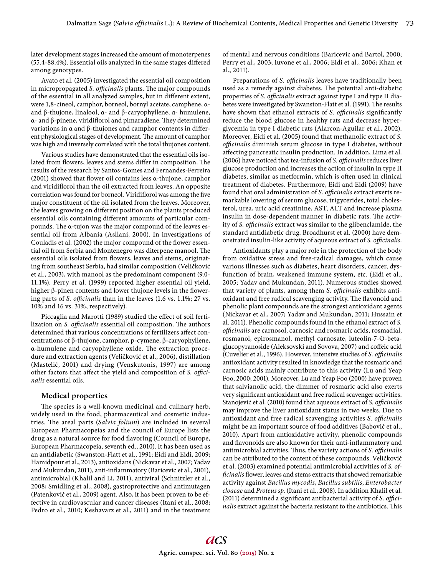later development stages increased the amount of monoterpenes  $(55.4-88.4%)$ . Essential oils analyzed in the same stages differed among genotypes.

Avato et al. (2005) investigated the essential oil composition in micropropagated *S. officinalis* plants. The major compounds of the essential in all analyzed samples, but in different extent, were 1,8-cineol, camphor, borneol, bornyl acetate, camphene, αand β-thujone, linalool, α- and β-caryophyllene, α- humulene,  $α$ - and  $β$ -pinene, viridiflorol and pimaradiene. They determined variations in  $\alpha$  and  $\beta$ -thujones and camphor contents in different physiological stages of development. The amount of camphor was high and inversely correlated with the total thujones content.

Various studies have demonstrated that the essential oils isolated from flowers, leaves and stems differ in composition. The results of the research by Santos-Gomes and Fernandes-Ferreira (2001) showed that flower oil contains less  $\alpha$ -thujone, camphor and viridiflorol than the oil extracted from leaves. An opposite correlation was found for borneol. Viridiflorol was among the five major constituent of the oil isolated from the leaves. Moreover, the leaves growing on different position on the plants produced essential oils containing different amounts of particular compounds. The α-tujon was the major compound of the leaves essential oil from Albania (Asllani, 2000). In investigations of Couladis et al. (2002) the major compound of the flower essential oil from Serbia and Montenegro was diterpene manool. The essential oils isolated from flowers, leaves and stems, originating from southeast Serbia, had similar composition (Veličković et al., 2003), with manool as the predominant component (9.0- 11.1%). Perry et al. (1999) reported higher essential oil yield, higher  $\beta$ -pinen contents and lower thujone levels in the flowering parts of *S. officinalis* than in the leaves (1.6 vs. 1.1%; 27 vs. 10% and 16 vs. 31%, respectively).

Piccaglia and Marotti (1989) studied the effect of soil fertilization on *S. officinalis* essential oil composition. The authors determined that various concentrations of fertilizers affect concentrations of β-thujone, camphor, p-cymene, β-caryophyllene, α-humulene and caryophyllene oxide. The extraction procedure and extraction agents (Veličković et al., 2006), distillation (Mastelić, 2001) and drying (Venskutonis, 1997) are among other factors that affect the yield and composition of *S. officinalis* essential oils.

## **Medical properties**

The species is a well-known medicinal and culinary herb, widely used in the food, pharmaceutical and cosmetic industries. The areal parts (*Salvia folium*) are included in several European Pharmacopeias and the council of Europe lists the drug as a natural source for food flavoring (Council of Europe, European Pharmacopeia, seventh ed., 2010). It has been used as an antidiabetic (Swanston-Flatt et al., 1991; Eidi and Eidi, 2009; Hamidpour et al., 2013), antioxidans (Nickavar et al., 2007; Yadav and Mukundan, 2011), anti-inflammatory (Baricevic et al., 2001), antimicrobial (Khalil and Li, 2011), antiviral (Schnitzler et al., 2008; Smidling et al., 2008), gastroprotective and antimutagen (Patenković et al., 2009) agent. Also, it has been proven to be effective in cardiovascular and cancer diseases (Itani et al., 2008; Pedro et al., 2010; Keshavarz et al., 2011) and in the treatment of mental and nervous conditions (Baricevic and Bartol, 2000; Perry et al., 2003; Iuvone et al., 2006; Eidi et al., 2006; Khan et al., 2011).

Preparations of *S. officinalis* leaves have traditionally been used as a remedy against diabetes. The potential anti-diabetic properties of *S. officinalis* extract against type I and type II diabetes were investigated by Swanston-Flatt et al. (1991). The results have shown that ethanol extracts of *S. officinalis* significantly reduce the blood glucose in healthy rats and decrease hyperglycemia in type I diabetic rats (Alarcon-Aguilar et al., 2002). Moreover, Eidi et al. (2005) found that methanolic extract of *S.*  officinalis diminish serum glucose in type I diabetes, without affecting pancreatic insulin production. In addition, Lima et al. (2006) have noticed that tea-infusion of *S. offi cinalis* reduces liver glucose production and increases the action of insulin in type II diabetes, similar as metformin, which is often used in clinical treatment of diabetes. Furthermore, Eidi and Eidi (2009) have found that oral administration of *S. officinalis* extract exerts remarkable lowering of serum glucose, trigycerides, total cholesterol, urea, uric acid creatinine, AST, ALT and increase plasma insulin in dose-dependent manner in diabetic rats. The activity of *S. officinalis* extract was similar to the glibenclamide, the standard antidiabetic drug. Broadhurst et al. (2000) have demonstrated insulin-like activity of aqueous extract of *S. officinalis*.

Antioxidants play a major role in the protection of the body from oxidative stress and free-radical damages, which cause various illnesses such as diabetes, heart disorders, cancer, dysfunction of brain, weakened immune system, etc. (Eidi et al., 2005; Yadav and Mukundan, 2011). Numerous studies showed that variety of plants, among them *S. officinalis* exhibits antioxidant and free radical scavenging activity. The flavonoid and phenolic plant compounds are the strongest antioxidant agents (Nickavar et al., 2007; Yadav and Mukundan, 2011; Hussain et al. 2011). Phenolic compounds found in the ethanol extract of *S. offi cinalis* are carnosol, carnosic and rosmaric acids, rosmadial, rosmanol, epirosmanol, methyl carnosate, luteolin-7-O-betaglucopyranoside (Aleksovski and Sovova, 2007) and coffeic acid (Cuvelier et al., 1996). However, intensive studies of *S. officinalis* antioxidant activity resulted in knowledge that the rosmaric and carnosic acids mainly contribute to this activity (Lu and Yeap Foo, 2000; 2001). Moreover, Lu and Yeap Foo (2000) have proven that salvianolic acid, the dimmer of rosmaric acid also exerts very significant antioxidant and free radical scavenger activities. Stanojević et al. (2010) found that aqueous extract of *S. officinalis* may improve the liver antioxidant status in two weeks. Due to antioxidant and free radical scavenging activities *S. officinalis* might be an important source of food additives (Babović et al., 2010). Apart from antioxidative activity, phenolic compounds and flavonoids are also known for their anti-inflammatory and antimicrobial activities. Thus, the variety actions of *S. officinalis* can be attributed to the content of these compounds. Veličković et al. (2003) examined potential antimicrobial activities of *S. officinalis* flower, leaves and stems extracts that showed remarkable activity against *Bacillus mycodis*, *Bacillus subtilis*, *Enterobacter cloacae* and *Proteus sp*. (Itani et al., 2008). In addition Khalil et al. (2011) determined a significant antibacterial activity of *S. officinalis* extract against the bacteria resistant to the antibiotics. This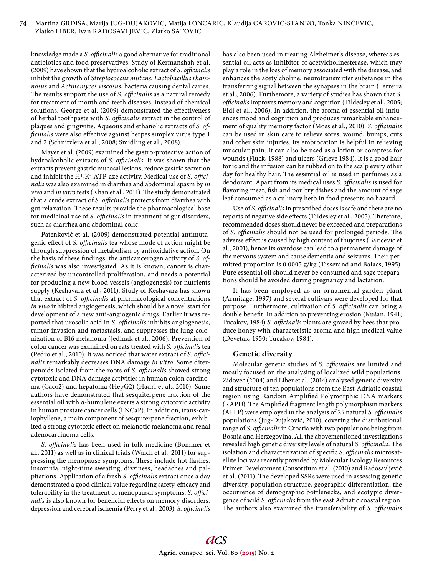knowledge made a *S. officinalis* a good alternative for traditional antibiotics and food preservatives. Study of Kermanshah et al. (2009) have shown that the hydroalcoholic extract of *S. officinalis* inhibit the growth of *Streptococcus mutans*, *Lactobacillus rhamnosus* and *Actinomyces viscosus*, bacteria causing dental caries. The results support the use of *S. officinalis* as a natural remedy for treatment of mouth and teeth diseases, instead of chemical solutions. George et al. (2009) demonstrated the effectiveness of herbal toothpaste with *S. officinalis* extract in the control of plaques and gingivitis. Aqueous and ethanolic extracts of *S. officinalis* were also effective against herpes simplex virus type 1 and 2 (Schnitzlera et al., 2008; Smidling et al., 2008).

Mayer et al. (2009) examined the gastro-protective action of hydroalcoholic extracts of *S. officinalis*. It was shown that the extracts prevent gastric mucosal lesions, reduce gastric secretion and inhibit the H<sup>+</sup>,K<sup>-</sup>-ATP-aze activity. Medical use of *S. officinalis* was also examined in diarrhea and abdominal spasm by *in vivo* and *in vitro* tests (Khan et al., 2011). The study demonstrated that a crude extract of *S. officinalis* protects from diarrhea with gut relaxation. These results provide the pharmacological base for medicinal use of *S. officinalis* in treatment of gut disorders, such as diarrhea and abdominal colic.

Patenković et al. (2009) demonstrated potential antimutagenic effect of *S. officinalis* tea whose mode of action might be through suppression of metabolism by antioxidative action. On the basis of these findings, the anticancerogen activity of *S. officinalis* was also investigated. As it is known, cancer is characterized by uncontrolled proliferation, and needs a potential for producing a new blood vessels (angiogenesis) for nutrients supply (Keshavarz et al., 2011). Study of Keshavarz has shown that extract of *S. officinalis* at pharmacological concentrations *in vivo* inhibited angiogenesis, which should be a novel start for development of a new anti-angiogenic drugs. Earlier it was reported that urosolic acid in *S. officinalis* inhibits angiogenesis, tumor invasion and metastasis, and suppresses the lung colonization of B16 melanoma (Jedinak et al., 2006). Prevention of colon cancer was examined on rats treated with *S. officinalis* tea (Pedro et al., 2010). It was noticed that water extract of *S. officinalis* remarkably decreases DNA damage *in vitro*. Some diterpenoids isolated from the roots of *S. officinalis* showed strong cytotoxic and DNA damage activities in human colon carcinoma (Caco2) and hepatoma (HepG2) (Hadri et al., 2010). Same authors have demonstrated that sesquiterpene fraction of the essential oil with α-humulene exerts a strong cytotoxic activity in human prostate cancer cells (LNCaP). In addition, trans-cariophyllene, a main component of sesquiterpene fraction, exhibited a strong cytotoxic effect on melanotic melanoma and renal adenocarcinoma cells.

*S. officinalis* has been used in folk medicine (Bommer et al., 2011) as well as in clinical trials (Walch et al., 2011) for suppressing the menopause symptoms. These include hot flashes, insomnia, night-time sweating, dizziness, headaches and palpitations. Application of a fresh *S. officinalis* extract once a day demonstrated a good clinical value regarding safety, efficacy and tolerability in the treatment of menopausal symptoms. *S. officinalis* is also known for beneficial effects on memory disorders, depression and cerebral ischemia (Perry et al., 2003). *S. officinalis*  has also been used in treating Alzheimer's disease, whereas essential oil acts as inhibitor of acetylcholinesterase, which may play a role in the loss of memory associated with the disease, and enhances the acetylcholine, neurotransmitter substance in the transferring signal between the synapses in the brain (Ferreira et al., 2006). Furthemore, a variety of studies has shown that *S. officinalis* improves memory and cognition (Tildesley et al., 2005; Eidi et al., 2006). In addition, the aroma of essential oil influences mood and cognition and produces remarkable enhancement of quality memory factor (Moss et al., 2010). *S. officinalis* can be used in skin care to relieve sores, wound, bumps, cuts and other skin injuries. Its embrocation is helpful in relieving muscular pain. It can also be used as a lotion or compress for wounds (Fluck, 1988) and ulcers (Grieve 1984). It is a good hair tonic and the infusion can be rubbed on to the scalp every other day for healthy hair. The essential oil is used in perfumes as a deodorant. Apart from its medical uses *S. officinalis* is used for flavoring meat, fish and poultry dishes and the amount of sage leaf consumed as a culinary herb in food presents no hazard.

Use of *S. officinalis* in prescribed doses is safe and there are no reports of negative side effects (Tildesley et al., 2005). Therefore, recommended doses should never be exceeded and preparations of *S. officinalis* should not be used for prolonged periods. The adverse effect is caused by high content of thujones (Baricevic et al., 2001), hence its overdose can lead to a permanent damage of the nervous system and cause dementia and seizures. Their permitted proportion is 0.0005 g/kg (Tisserand and Balacs, 1995). Pure essential oil should never be consumed and sage preparations should be avoided during pregnancy and lactation.

It has been employed as an ornamental garden plant (Armitage, 1997) and several cultivars were developed for that purpose. Furthermore, cultivation of *S. officinalis* can bring a double benefit. In addition to preventing erosion (Kušan, 1941; Tucakov, 1984) *S. officinalis* plants are grazed by bees that produce honey with characteristic aroma and high medical value (Devetak, 1950; Tucakov, 1984).

## **Genetic diversity**

Molecular genetic studies of *S. officinalis* are limited and mostly focused on the analysing of localized wild populations. Židovec (2004) and Liber et al. (2014) analysed genetic diversity and structure of ten populations from the East-Adriatic coastal region using Random Amplified Polymorphic DNA markers (RAPD). The Amplified fragment length polymorphism markers (AFLP) were employed in the analysis of 25 natural *S. officinalis* populations (Jug-Dujaković, 2010), covering the distributional range of *S. officinalis* in Croatia with two populations being from Bosnia and Herzegovina. All the abovementioned investigations revealed high genetic diversity levels of natural *S. officinalis*. The isolation and characterization of specific *S. officinalis* microsatellite loci was recently provided by Molecular Ecology Resources Primer Development Consortium et al. (2010) and Radosavljević et al. (2011). The developed SSRs were used in assessing genetic diversity, population structure, geographic differentiation, the occurrence of demographic bottlenecks, and ecotypic divergence of wild *S. officinalis* from the east Adriatic coastal region. The authors also examined the transferability of *S. officinalis*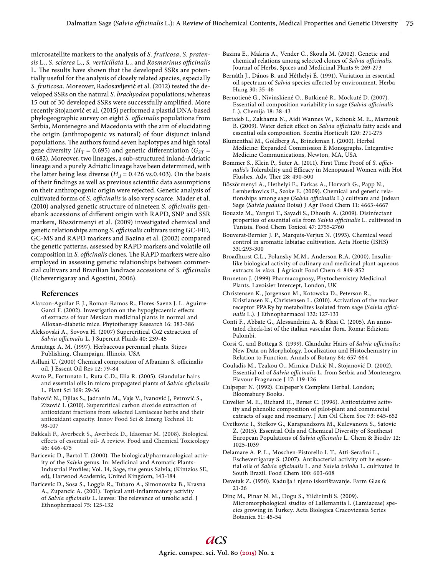microsatellite markers to the analysis of *S. fruticosa*, *S. pratensis* L., *S. sclarea* L., *S. verticillata* L., and *Rosmarinus offi cinalis* L. The results have shown that the developed SSRs are potentially useful for the analysis of closely related species, especially *S. fruticosa*. Moreover, Radosavljević et al. (2012) tested the developed SSRs on the natural *S. brachyodon* populations; whereas 15 out of 30 developed SSRs were successfully amplified. More recently Stojanović et al. (2015) performed a plastid DNA-based phylogeographic survey on eight *S. officinalis* populations from Serbia, Montenegro and Macedonia with the aim of elucidating the origin (anthropogenic vs natural) of four disjunct inland populations. The authors found seven haplotypes and high total gene diversity ( $H_T$  = 0.695) and genetic differentiation ( $G_{ST}$  = 0.682). Moreover, two lineages, a sub-structured inland-Adriatic lineage and a purely Adriatic lineage have been determined, with the latter being less diverse  $(H<sub>d</sub> = 0.426 \text{ vs. } 0.403)$ . On the basis of their findings as well as previous scientific data assumptions on their anthropogenic origin were rejected. Genetic analysis of cultivated forms of *S. officinalis* is also very scarce. Mader et al. (2010) analysed genetic structure of nineteen *S. officinalis* genebank accessions of different origin with RAPD, SNP and SSR markers, Böszörmenyi et al. (2009) investigated chemical and genetic relationships among *S. officinalis* cultivars using GC-FID, GC-MS and RAPD markers and Bazina et al. (2002) compared the genetic patterns, assessed by RAPD markers and volatile oil composition in *S. officinalis* clones. The RAPD markers were also employed in assessing genetic relationships between commercial cultivars and Brazilian landrace accessions of *S. officinalis* (Echeverrigaray and Agostini, 2006).

## **References**

- Alarcon-Aguilar F. J., Roman-Ramos R., Flores-Saenz J. L. Aguirre-Garci F. (2002). Investigation on the hypoglycaemic effects of extracts of four Mexican medicinal plants in normal and Alloxan-diabetic mice. Phytotherapy Research 16: 383-386
- Aleksovski A., Sovova H. (2007) Supercritical Co2 extraction of Salvia officinalis L. J Supercrit Fluids 40: 239-45
- Armitage A. M. (1997). Herbaceous perennial plants. Stipes Publishing, Champaign, Illinois, USA
- Asllani U. (2000) Chemical composition of Albanian S. officinalis oil. J Essent Oil Res 12: 79-84
- Avato P., Fortunato I., Ruta C.D., Elia R. (2005). Glandular hairs and essential oils in micro propagated plants of Salvia officinalis L. Plant Sci 169: 29-36
- Babović N., Djilas S., Jadranin M., Vajs V., Ivanović J, Petrović S., Zizović I. (2010). Supercritical carbon dioxide extraction of antioxidant fractions from selected Lamiaceae herbs and their antioxidant capacity. Innov Food Sci & Emerg Technol 11: 98-107
- Bakkali F., Averbeck S., Averbeck D., Idaomar M. (2008). Biological effects of essential oil- A review. Food and Chemical Toxicology 46: 446-475
- Baricevic D., Bartol T. (2000). The biological/pharmacological activity of the *Salvia* genus. In: Medicinal and Aromatic Plants-Industrial Profiles; Vol. 14, Sage, the genus Salvia; (Kintzios SE, ed), Harwood Academic, United Kingdom, 143-184
- Baricevic D., Sosa S., Loggia R., Tubaro A., Simonovska B., Krasna A., Zupancic A. (2001). Topical anti-inflammatory activity of *Salvia officinalis* L. leaves: The relevance of ursolic acid. J Ethnophrmacol 75: 125-132
- Bazina E., Makris A., Vender C., Skoula M. (2002). Genetic and chemical relations among selected clones of *Salvia officinalis*. Journal of Herbs, Spices and Medicinal Plants 9: 269-273
- Bernáth J., Dános B. and Héthelyi É. (1991). Variation in essential oil spectrum of *Salvia* species affected by environment. Herba Hung 30: 35-46
- Bernotiené G., Nivinskiené O., Butkiené R., Mockuté D. (2007). Essential oil composition variability in sage (Salvia officinalis L.). Chemija 18: 38-43
- Bettaieb I., Zakhama N., Aidi Wannes W., Kchouk M. E., Marzouk B. (2009). Water deficit effect on *Salvia officinalis* fatty acids and essential oils composition. Scentia Horticult 120: 271-275
- Blumenthal M., Goldberg A., Brinckman J. (2000). Herbal Medicine: Expanded Commission E Monographs. Integrative Medicine Communications, Newton, MA, USA
- Bommer S., Klein P., Suter A. (2011). First Time Proof of *S. offici*nalis's Tolerability and Efficacy in Menopausal Women with Hot Flushes. Adv. Ther 28: 490-500
- Böszörmenyi A., Hethelyi E., Farkas A., Horvath G., Papp N., Lemberkovics E., Szoke E. (2009). Chemical and genetic relationships among sage (Salvia officinalis L.) cultivars and Judean Sage (*Salvia judaica* Boiss) J Agr Food Chem 11: 4663-4667
- Bouaziz M., Yangui T., Sayadi S., Dhouib A. (2009). Disinfectant properties of essential oils from Salvia officinalis L. cultivated in Tunisia. Food Chem Toxicol 47: 2755-2760
- Bouverat-Bernier J. P., Marquis-Verjux N. (1993). Chemical weed control in aromatic labiatae cultivation. Acta Hortic (ISHS) 331:293-300
- Broadhurst C.L., Polansky M.M., Anderson R.A. (2000). Insulinlike biological activity of culinary and medicinal plant aqueous extracts *in vitro*. J Agricult Food Chem 4: 849-852
- Bruneton J. (1999) Pharmacognosy, Phytochemistry Medicinal Plants. Lavoisier Intercept, London, UK
- Christensen K., Jorgenson M., Kotowska D., Peterson R., Kristiansen K., Christensen L. (2010). Activation of the nuclear receptor PPARγ by metabolites isolated from sage (Salvia offici*nalis* L.). J Ethnopharmacol 132: 127-133
- Conti F., Abbate G., Alessandrini A. & Blasi C. (2005). An annotated check-list of the italian vascular flora. Roma: Edizioni Palombi.
- Corsi G. and Bottega S. (1999). Glandular Hairs of *Salvia officinalis*: New Data on Morphology, Localization and Histochemistry in Relation to Function. Annals of Botany 84: 657-664
- Couladis M., Tzakou O., Mimica-Dukić N., Stojanović D. (2002). Essential oil of *Salvia officinalis* L. from Serbia and Montenegro. Flavour Fragnance J 17: 119-126
- Culpeper N. (1992). Culpeper's Complete Herbal. London; Bloomsbury Books.
- Cuvelier M. E., Richard H., Berset C. (1996). Antioxidative activity and phenolic composition of pilot-plant and commercial extracts of sage and rosemary. J Am Oil Chem Soc 73: 645-652
- Cvetkovic I., Stefkov G., Karapandzova M., Kulevanova S., Satovic Z. (2015). Essential Oils and Chemical Diversity of Southeast European Populations of *Salvia officinalis* L. Chem & Biodiv 12: 1025-1039
- Delamare A. P. L., Moschen-Pistorello I. T., Atti-Serafini L., Escheverrigaray S. (2007). Antibacterial activity oft he essential oils of *Salvia officinalis* L. and *Salvia triloba* L. cultivated in South Brazil. Food Chem 100: 603-608
- Devetak Z. (1950). Kadulja i njeno iskorištavanje. Farm Glas 6: 21-26
- Dinç M., Pinar N. M., Dogu S., Yildirimli S. (2009). Micromorphological studies of Lallemantia l. (Lamiaceae) species growing in Turkey. Acta Biologica Cracoviensia Series Botanica 51: 45-54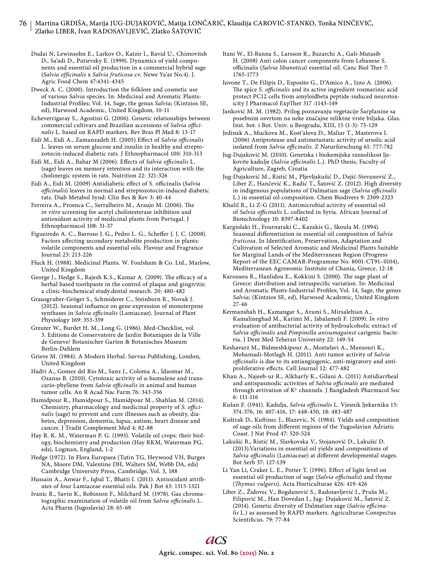# 76 | Martina GRDIŠA, Marija JUG-DUJAKOVIĆ, Matija LONČARIĆ, Klaudija CAROVIĆ-STANKO, Tonka NINČEVIĆ, Zlatko LIBER, Ivan RADOSAVLJEVIĆ, Zlatko ŠATOVIĆ

Dudai N, Lewinsohn E., Larkov O., Katzir I., Ravid U., Chimovitsh D., Sa'adi D., Putievsky E. (1999). Dynamics of yield components and essential oil production in a commercial hybrid sage (*Salvia officinalis* x *Salvia fruticosa* cv. Newe Ya'ar No.4). J. Agric Food Chem 47:4341-4345

Dweck A. C. (2000). Introduction the folklore and cosmetic use of various *Salvia* species. In: Medicinal and Aromatic Plants-Industrial Profiles; Vol. 14, Sage, the genus *Salvia*; (Kintzios SE, ed), Harwood Academic, United Kingdom, 10-11

Echeverrigaray S., Agostini G. (2006). Genetic relationships between commercial cultivars and Brazilian accessions of *Salvia officinalis* L. based on RAPD markers. Rev Bras Pl Med 8: 13-17

Eidi M., Eidi A., Zamanzadeh H. (2005) Effect of *Salvia officinalis* L. leaves on serum glucose and insulin in healthy and streptozotocin-induced diabetic rats. J Ethnopharmacol 100: 310-313

Eidi M., Eidi A., Bahar M (2006). Effects of *Salvia officinalis* L. (sage) leaves on memory retention and its interaction with the cholinergic system in rats. Nutrition 22: 321-326

Eidi A., Eidi M. (2009) Antidiabetic effect of S. officinalis (Salvia officinalis) leaves in normal and streptozotocin-induced diabetic rats. Diab Metabol Synd: Clin Res & Rev 3: 40-44

Ferreira A., Proenca C., Serralheiro M., Araujo M. (2006). The *in vitro* screening for acetyl cholinesterase inhibition and antioxidant activity of medicinal plants from Portugal. J Ethnopharmacol 108: 31-37

Figueiredo A. C., Barroso J. G., Pedro L. G., Scheffer J. J. C. (2008). Factors affecting secondary metabolite production in plants: volatile components and essential oils. Flavour and Fragrance Journal 23: 213-226

Fluck H. (1988). Medicinal Plants. W. Foulsham & Co. Ltd., Marlow, United Kingdom

George J., Hedge S., Rajesh K.S., Kumar A. (2009). The efficacy of a herbal based toothpaste in the control of plaque and gingivitis: a clinic-biochemical study.dental research. 20: 480-482

Grausgruber-Gröger S., Schmiderer C., Steinborn R., Novak J. (2012). Seasonal influence on gene expression of monoterpene synthases in *Salvia officinalis* (Lamiaceae). Journal of Plant Physiology 169: 353-359

Greuter W., Burdet H. M., Long G. (1986). Med-Checklist, vol. 3. Editions de Conservatoire de Jardin Botaniques de la Ville de Geneve/ Botanischer Garten & Botanisches Museum Berlin-Dahlem

Grieve M. (1984). A Modern Herbal. Savvas Publishing, London, United Kingdom

Hadri A., Gomez del Rio M., Sanz J., Coloma A., Idaomar M., Ozanas B. (2010). Cytotoxic activity of α-humulene and transcario-phyllene from *Salvia officinalis* in animal and human tumor cells. An R Acad Nac Farm 76: 343-356

Hamidpour R., Hamidpour S., Hamidpour M., Shahlan M. (2014). Chemistry, pharmacology and medicinal property of *S. officinalis* (sage) to prevent and cure illnesses such as obesity, diabetes, depression, dementia, lupus, autism, heart disease and cancer. J Tradit Complement Med 4: 82-88

Hay R. K. M., Waterman P. G. (1993). Volatile oil crops: their biology, biochemistry and production (Hay RKM, Waterman PG, eds), Logman, England, 1-2

Hedge (1972). In Flora Europaea (Tutin TG, Heywood VH, Burges NA, Moore DM, Valentine DH, Walters SM, Webb DA, eds) Cambridge University Press, Cambridge, Vol. 3, 188

Hussain A., Anwar F., Iqbal T., Bhatti I. (2011). Antioxidant attributes of four Lamiaceae essential oils. Pak J Bot 43: 1315-1321

Ivanic R., Savin K., Robinson F., Milchard M. (1978). Gas chromatographic examination of volatile oil from *Salvia officinalis* L. Acta Pharm (Jugoslavia) 28: 65-69

Itani W., El-Banna S., Larsson R., Bazarchi A., Gali-Mutasib H. (2008) Anti colon cancer components from Lebanese S. officinalis (*Salvia libanotica*) essential oil. Canc Biol Ther 7: 1765-1773

Iuvone T., De Filipis D., Esposito G., D'Amico A., Izzo A. (2006). The spice *S. officinalis* and its active ingredient rosmarinic acid protect PC12 cells from amyloidbeta peptide-induced neurotoxicity J Pharmacol ExpTher 317 :1143-149

Janković M. M. (1982). Prilog poznavanju vegetacije Šarplanine sa posebnim osvrtom na neke značajne reliktne vrste biljaka. Glas. Inst. bot. i Bot. Univ. u Beogradu, XIII, 15 (1-3): 75-129

Jedinak A., Muckova M., Kost'alova D., Maliar T., Masterova I. (2006) Antiprotease and antimetastatic activity of ursolic acid isolated from *Salvia officinalis*. Z Naturforschung 61: 777-782

Jug-Dujaković M. (2010). Genetska i biokemijska raznolikost ljekovite kadulje (Salvia officinalis L.). PhD thesis, Faculty of Agriculture, Zagreb, Croatia

Jug-Dujaković M., Ristić M., Pljevljakušić D., Dajić-Stevanović Z., Liber Z., Hančević K., Radić T., Šatović Z. (2012). High diversity in indigenous populations of Dalmatian sage (Salvia officinalis L.) in essential oil composition. Chem Biodivers 9: 2309-2323

Khalil R., Li Z-G (2011). Antimicrobial activity of essential oil of Salvia officinalis L. collected in Syria. African Journal of Biotechnology 10: 8397-8402

Kargiolaki H., Fournaraki C., Kazakis G., Skoula M. (1994). Seasonal differentiation in essential oil composition of *Salvia fruticosa*. In Identification, Preservation, Adaptation and Cultivation of Selected Aromatic and Medicinal Plants Suitable for Marginal Lands of the Mediterranean Region (Progress Report of the EEC CAMAR-Programme No. 8001-CT91–0104), Mediterranean Agronomic Institute of Chania, Greece, 12-18

Karousou R., Hanlidou E., Kokkini S. (2000). The sage plant of Greece: distribution and intraspecific variation. In: Medicinal and Aromatic Plants-Industrial Profiles; Vol. 14, Sage, the genus *Salvia*; (Kintzios SE, ed), Harwood Academic, United Kingdom 27-46

Kermanshah H., Kamangar S., Arami S., Mirsalehian A., Kamalineghad M., Karimi M., Jabalameli F. (2009). *In vitro* evaluation of antibacterial activity of hydroalcoholic extract of *Salvia offi cinalis* and *Pimpinella anisumagainst* carigenic bacteria. J Dent Med Teheran University 22: 149-54

Keshavarz M., Bidmeshkipour A., Mostafavi A., Mansouri K., Mohamadi-Motlagh H. (2011). Anti tumor activity of *Salvia officinalis* is due to its antiangiogenic, anti-migratory and antiproliferative effects. Cell Journal 12: 477-482

Khan A., Najeeb-ur R., Alkharfy K., Gilani A. (2011) Antidiarrheal and antispasmodic activities of Salvia officinalis are mediated through avtivation of K+ channels. J Bangladesh Pharmacol Soc 6: 111-116

Kušan F. (1941). Kadulja, Salvia officinalis L. Vjesnik ljekarnika 15: 374-376, 16: 407-416, 17: 448-450, 18: 483-487

Kuštrak D., Kuftinec J., Blazevic, N. (1984). Yields and composition of sage oils from different regions of the Yugoslavian Adriatic Coast. J Nat Prod 47: 520-524

Lakušić B., Ristić M., Slavkovska V., Stojanović D., Lakušić D. (2013).Variations in essential oil yields and compositions of Salvia officinalis (Lamiaceae) at different developmental stages. Bot Serb 37: 127-139

Li Yan Li, Craker L. E., Potter T. (1996). Effect of light level on essential oil production of sage (*Salvia officinalis*) and thyme (Thymus vulgaris). Acta Horticulturae 426: 419-426

Liber Z., Židovec V., Bogdanović S., Radosavljević I., Pruša M.; Filipović M., Han Dovedan I., Jug- Dujaković M., Šatović Z. (2014). Genetic diversity of Dalmatian sage (Salvia officina*lis* L.) as assessed by RAPD markers. Agriculturae Conspectus Scientificus. 79: 77-84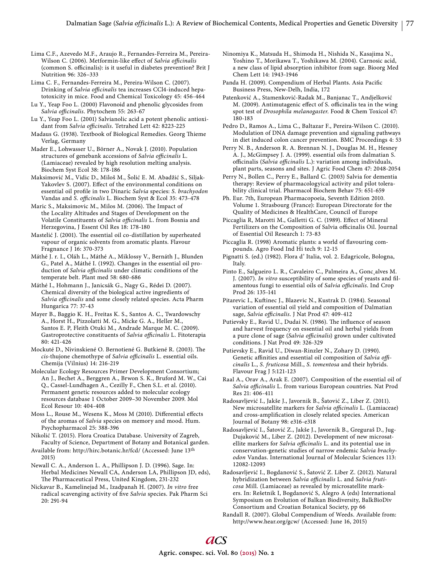Lima C.F., Azevedo M.F., Araujo R., Fernandes-Ferreira M., Pereira-Wilson C. (2006). Metformin-like effect of Salvia officinalis (common S. officinalis): is it useful in diabetes prevention? Brit J Nutrition 96: 326–333

Lima C. F., Fernandes-Ferreira M., Pereira-Wilson C. (2007). Drinking of *Salvia officinalis* tea increases CCl4-induced hepatotoxicity in mice. Food and Chemical Toxicology 45: 456-464

Lu Y., Yeap Foo L. (2000) Flavonoid and phenolic glycosides from Salvia officinalis. Phytochem 55: 263-67

Lu Y., Yeap Foo L. (2001) Salvianolic acid a potent phenolic antioxidant from *Salvia officinalis*. Tetrahed Lett 42: 8223-225

Madaus G. (1938). Textbook of Biological Remedies. Georg Thieme Verlag, Germany

Mader E., Lohwasser U., Börner A., Novak J. (2010). Population structures of genebank accessions of *Salvia officinalis* L. (Lamiaceae) revealed by high resolution melting analysis. Biochem Syst Ecol 38: 178-186

Maksimović M., Vidic D., Miloš M., Šolić E. M. Abadžić S., Siljak-Yakovlev S. (2007). Effect of the environmental conditions on essential oil profile in two Dinaric Salvia species: S. brachyodon Vandas and *S. officinalis* L. Biochem Syst & Ecol 35: 473-478

Maric S., Maksimovic M., Milos M. (2006). The Impact of the Locality Altitudes and Stages of Development on the Volatile Constituents of Salvia officinalis L. from Bosnia and Herzegovina, J Essent Oil Res 18: 178-180

Mastelić J. (2001). The essential oil co-distillation by superheated vapour of organic solvents from aromatic plants. Flavour Fragnance J 16: 370-373

Máthé J. r. I., Oláh L., Máthé A., Miklossy V., Bernáth J., Blunden G., Patel A., Máthé I. (1992). Changes in the essential oil production of *Salvia officinalis* under climatic conditions of the temperate belt. Plant med 58: 680-686

Máthé I., Hohmann J., Janicsák G., Nagy G., Rédei D. (2007). Chemical diversity of the biological active ingredients of Salvia officinalis and some closely related species. Acta Pharm Hungarica 77: 37-43

Mayer B., Baggio K. H., Freitas K. S., Santos A. C., Twardowschy A., Horst H., Pizzolatti M. G., Micke G. A., Heller M., Santos E. P, Fleith Otuki M., Andrade Marque M. C. (2009). Gastroprotective constituents of Salvia officinalis L. Fitoterapia 80: 421-426

Mockuté D., Nivinskiené O. Bernotiené G. Butkiené R. (2003). The *cis*-thujone chemothype of *Salvia officinalis* L. essential oils. Chemija (Vilnius) 14: 216-219

Molecular Ecology Resources Primer Development Consortium; An J., Bechet A., Berggren A., Brwon S. K., Bruford M. W., Cai Q., Cassel-Lundhagen A., Cezilly F., Chen S.L. et al. (2010). Permanent genetic resources added to molecular ecology resources database 1 October 2009–30 November 2009. Mol Ecol Resour 10: 404-408

Moss L., Rouse M., Wesens K., Moss M (2010). Differential effects of the aromas of *Salvia* species on memory and mood. Hum. Psychopharmacol 25: 388-396

Nikolić T. (2015). Flora Croatica Database. University of Zagreb, Faculty of Science, Department of Botany and Botanical garden.

Available from: http://hirc.botanic.hr/fcd/ (Accessed: June 13th 2015)

Newall C. A., Anderson L. A., Phillipson J. D. (1996). Sage. In: Herbal Medicines Newall CA, Anderson LA, Phillipson JD, eds), The Pharmaceutical Press, United Kingdom, 231-232

Nickavar B., Kamelinejad M., Izadpanah H. (2007). *In vitro* free radical scavenging activity of five Salvia species. Pak Pharm Sci 20: 291-94

Ninomiya K., Matsuda H., Shimoda H., Nishida N., Kasajima N., Yoshino T., Morikawa T., Yoshikawa M. (2004). Carnosic acid, a new class of lipid absorption inhibitor from sage. Bioorg Med Chem Lett 14: 1943-1946

Panda H. (2009). Compendium of Herbal Plants. Asia Pacific Business Press, New-Delh, India, 172

Patenković A., Stamenković-Radak M., Banjanac T., Andjelković M. (2009). Antimutagenic effect of S. officinalis tea in the wing spot test of *Drosophila melanogaster*. Food & Chem Toxicol 47: 180-183

Pedro D., Ramos A., Lima C., Baltazar F., Pereira-Wilson C. (2010). Modulation of DNA damage prevention and signaling pathways in diet induced colon cancer prevention. BMC Proceedings 4: 53

Perry N. B., Anderson R. A. Brennan N. J., Douglas M. H., Hesney A. J., McGimpsey J. A. (1999). essential oils from dalmatian S. officinalis (Salvia officinalis L.): variation among individuals, plant parts, seasons and sites. J Agric Food Chem 47: 2048-2054

Perry N., Bollen C., Perry E., Ballard C. (2003) Salvia for dementia therapy: Review of pharmacologyical activity and pilot tolerability clinical trial. Pharmacol Biochem Behav 75: 651-659

Ph. Eur. 7th, European Pharmacopoeia, Seventh Edition 2010. Volume 1. Strasbourg (France): European Directorate for the Quality of Medicines & HealthCare, Council of Europe

Piccaglia R, Marotti M., Galletti G. C. (1989). Effect of Mineral Fertilizers on the Composition of Salvia officinalis Oil. Journal of Essential Oil Research 1: 73-83

Piccaglia R. (1998) Aromatic plants: a world of flavouring compounds. Agro Food Ind Hi tech 9: 12-15

Pignatti S. (ed.) (1982). Flora d' Italia, vol. 2. Edagricole, Bologna, Italy.

Pinto E., Salgueiro L. R., Cavaleiro C., Palmeira A., Gonc¸alves M. J. (2007). *In vitro* susceptibility of some species of yeasts and filamentous fungi to essential oils of *Salvia officinalis*. Ind Crop Prod 26: 135-141

Pitarevic I., Kuftinec J., Blazevic N., Kustrak D. (1984). Seasonal variation of essential oil yield and composition of Dalmatian sage, *Salvia officinalis*. J Nat Prod 47: 409-412

Putievsky E., Ravid U., Dudai N. (1986). The influence of season and harvest frequency on essential oil and herbal yields from a pure clone of sage (*Salvia officinalis*) grown under cultivated conditions. J Nat Prod 49: 326-329

Putievsky E., Ravid U., Diwan-Rinzler N., Zohary D. (1990). Genetic affinities and essential oil composition of Salvia offi*cinalis* L., *S. fruticosa* Mill., *S. tomentosa* and their hybrids. Flavour Frag J 5:121-123

Raal A., Orav A., Arak E. (2007). Composition of the essential oil of Salvia officinalis L. from various European countries. Nat Prod Res 21: 406-411

Radosavljević I., Jakše J., Javornik B., Šatović Z., Liber Z. (2011). New microsatellite markers for *Salvia officinalis* L. (Lamiaceae) and cross-amplification in closely related species. American Journal of Botany 98: e316-e318

Radosavljević I., Šatović Z., Jakše J., Javornik B., Greguraš D., Jug-Dujaković M., Liber Z. (2012). Development of new microsatellite markers for *Salvia officinalis* L. and its potential use in conservation-genetic studies of narrow endemic *Salvia brachyodon* Vandas. International Journal of Molecular Sciences 113: 12082-12093

Radosavljević I., Bogdanović S., Šatović Z. Liber Z. (2012). Natural hybridization between Salvia officinalis L. and Salvia fruti*cosa* Mill. (Lamiaceae) as revealed by microsatellite markers. In: Rešetnik I, Bogdanović S, Alegro A (eds) International Symposium on Evolution of Balkan Biodiversity, BalkBioDiv Consortium and Croatian Botanical Society, pp 66

Randall R. (2007). Global Compendium of Weeds. Available from: http://www.hear.org/gcw/ (Accessed: June 16, 2015)